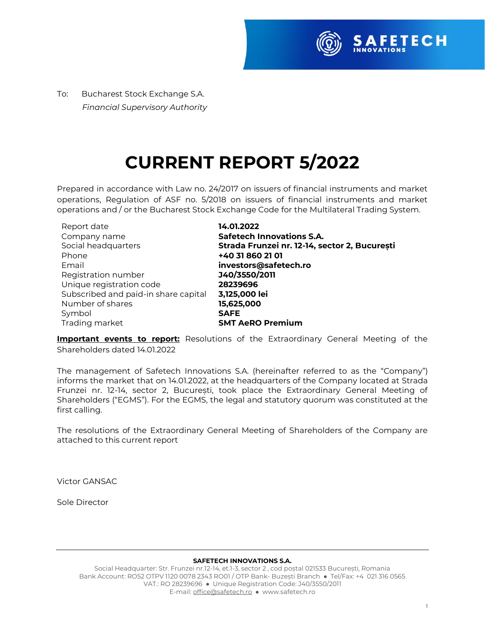

To:Bucharest Stock Exchange S.A.  *Financial Supervisory Authority*

# **CURRENT REPORT 5/2022**

Prepared in accordance with Law no. 24/2017 on issuers of financial instruments and market operations, Regulation of ASF no. 5/2018 on issuers of financial instruments and market operations and / or the Bucharest Stock Exchange Code for the Multilateral Trading System.

| Report date                          | 14.01.2022                                    |
|--------------------------------------|-----------------------------------------------|
| Company name                         | <b>Safetech Innovations S.A.</b>              |
| Social headquarters                  | Strada Frunzei nr. 12-14, sector 2, București |
| Phone                                | +40 31 860 21 01                              |
| Email                                | investors@safetech.ro                         |
| Registration number                  | J40/3550/2011                                 |
| Unique registration code             | 28239696                                      |
| Subscribed and paid-in share capital | 3,125,000 lei                                 |
| Number of shares                     | 15,625,000                                    |
| Symbol                               | <b>SAFE</b>                                   |
| Trading market                       | <b>SMT AeRO Premium</b>                       |

**Important events to report:** Resolutions of the Extraordinary General Meeting of the Shareholders dated 14.01.2022

The management of Safetech Innovations S.A. (hereinafter referred to as the "Company") informs the market that on 14.01.2022, at the headquarters of the Company located at Strada Frunzei nr. 12-14, sector 2, București, took place the Extraordinary General Meeting of Shareholders ("EGMS"). For the EGMS, the legal and statutory quorum was constituted at the first calling.

The resolutions of the Extraordinary General Meeting of Shareholders of the Company are attached to this current report

Victor GANSAC

Sole Director

#### **SAFETECH INNOVATIONS S.A.**

Social Headquarter: Str. Frunzei nr.12-14, et.1-3, sector 2 , cod poștal 021533 București, Romania Bank Account: RO52 OTPV 1120 0078 2343 RO01 / OTP Bank- Buzești Branch ● Tel/Fax: +4 021 316 0565 VAT.: RO 28239696 ● Unique Registration Code: J40/3550/2011 E-mail[: office@safetech.ro](mailto:office@safetech.ro) ● www.safetech.ro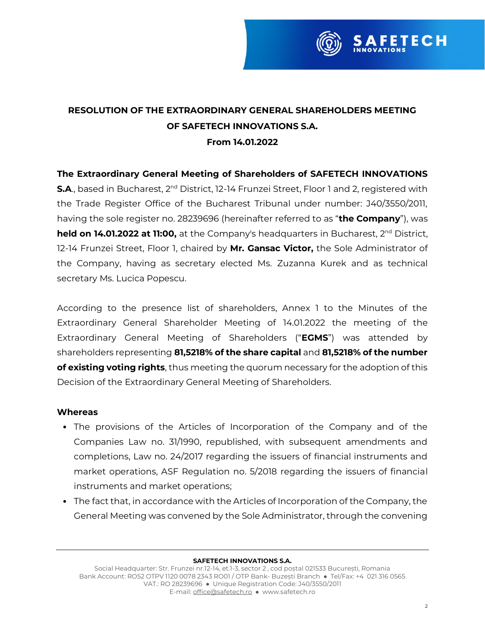

# **RESOLUTION OF THE EXTRAORDINARY GENERAL SHAREHOLDERS MEETING OF SAFETECH INNOVATIONS S.A. From 14.01.2022**

## **The Extraordinary General Meeting of Shareholders of SAFETECH INNOVATIONS**

**S.A.**, based in Bucharest, 2<sup>nd</sup> District, 12-14 Frunzei Street, Floor 1 and 2, registered with the Trade Register Office of the Bucharest Tribunal under number: J40/3550/2011, having the sole register no. 28239696 (hereinafter referred to as "**the Company**"), was **held on 14.01.2022 at 11:00,** at the Company's headquarters in Bucharest, 2<sup>nd</sup> District, 12-14 Frunzei Street, Floor 1, chaired by **Mr. Gansac Victor,** the Sole Administrator of the Company, having as secretary elected Ms. Zuzanna Kurek and as technical secretary Ms. Lucica Popescu.

According to the presence list of shareholders, Annex 1 to the Minutes of the Extraordinary General Shareholder Meeting of 14.01.2022 the meeting of the Extraordinary General Meeting of Shareholders ("**EGMS**") was attended by shareholders representing **81,5218% of the share capital** and **81,5218% of the number of existing voting rights**, thus meeting the quorum necessary for the adoption of this Decision of the Extraordinary General Meeting of Shareholders.

#### **Whereas**

- The provisions of the Articles of Incorporation of the Company and of the Companies Law no. 31/1990, republished, with subsequent amendments and completions, Law no. 24/2017 regarding the issuers of financial instruments and market operations, ASF Regulation no. 5/2018 regarding the issuers of financial instruments and market operations;
- The fact that, in accordance with the Articles of Incorporation of the Company, the General Meeting was convened by the Sole Administrator, through the convening

#### **SAFETECH INNOVATIONS S.A.**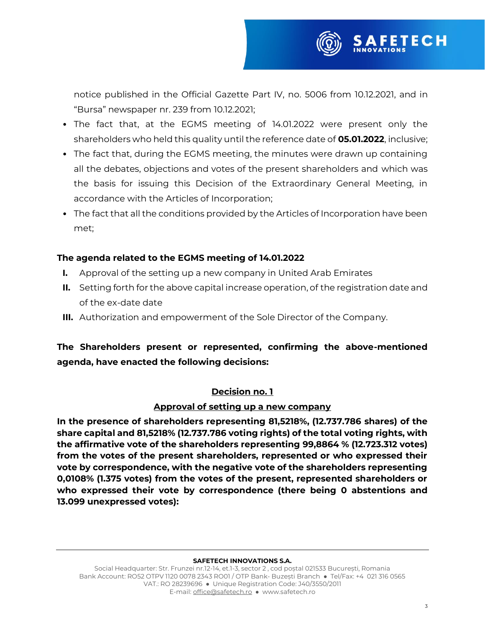

- The fact that, at the EGMS meeting of 14.01.2022 were present only the shareholders who held this quality until the reference date of **05.01.2022**, inclusive;
- The fact that, during the EGMS meeting, the minutes were drawn up containing all the debates, objections and votes of the present shareholders and which was the basis for issuing this Decision of the Extraordinary General Meeting, in accordance with the Articles of Incorporation;
- The fact that all the conditions provided by the Articles of Incorporation have been met;

## **The agenda related to the EGMS meeting of 14.01.2022**

- **I.** Approval of the setting up a new company in United Arab Emirates
- **II.** Setting forth for the above capital increase operation, of the registration date and of the ex-date date
- **III.** Authorization and empowerment of the Sole Director of the Company.

# **The Shareholders present or represented, confirming the above-mentioned agenda, have enacted the following decisions:**

### **Decision no. 1**

#### **Approval of setting up a new company**

**In the presence of shareholders representing 81,5218%, (12.737.786 shares) of the share capital and 81,5218% (12.737.786 voting rights) of the total voting rights, with the affirmative vote of the shareholders representing 99,8864 % (12.723.312 votes) from the votes of the present shareholders, represented or who expressed their vote by correspondence, with the negative vote of the shareholders representing 0,0108% (1.375 votes) from the votes of the present, represented shareholders or who expressed their vote by correspondence (there being 0 abstentions and 13.099 unexpressed votes):**

#### **SAFETECH INNOVATIONS S.A.**

Social Headquarter: Str. Frunzei nr.12-14, et.1-3, sector 2 , cod poștal 021533 București, Romania Bank Account: RO52 OTPV 1120 0078 2343 RO01 / OTP Bank- Buzești Branch ● Tel/Fax: +4 021 316 0565 VAT.: RO 28239696 ● Unique Registration Code: J40/3550/2011 E-mail[: office@safetech.ro](mailto:office@safetech.ro) ● www.safetech.ro

**FETECH**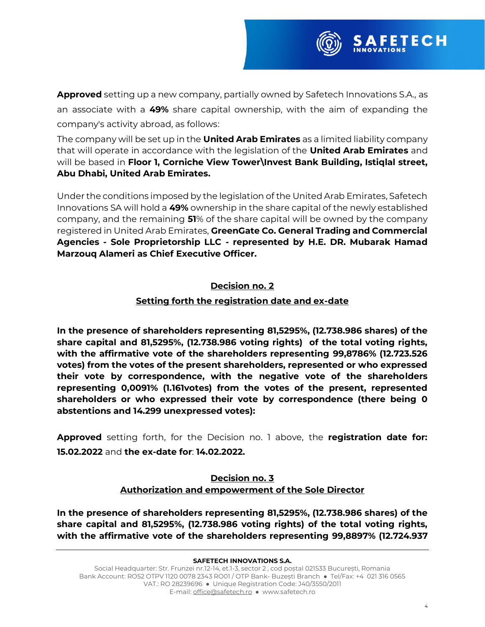

**Approved** setting up a new company, partially owned by Safetech Innovations S.A., as an associate with a **49%** share capital ownership, with the aim of expanding the company's activity abroad, as follows:

The company will be set up in the **United Arab Emirates** as a limited liability company that will operate in accordance with the legislation of the **United Arab Emirates** and will be based in **Floor 1, Corniche View Tower\Invest Bank Building, Istiqlal street, Abu Dhabi, United Arab Emirates.**

Under the conditions imposed by the legislation of the United Arab Emirates, Safetech Innovations SA will hold a **49%** ownership in the share capital of the newly established company, and the remaining **51**% of the share capital will be owned by the company registered in United Arab Emirates, **GreenGate Co. General Trading and Commercial Agencies - Sole Proprietorship LLC - represented by H.E. DR. Mubarak Hamad Marzouq Alameri as Chief Executive Officer.**

# **Decision no. 2**

# **Setting forth the registration date and ex-date**

**In the presence of shareholders representing 81,5295%, (12.738.986 shares) of the share capital and 81,5295%, (12.738.986 voting rights) of the total voting rights, with the affirmative vote of the shareholders representing 99,8786% (12.723.526 votes) from the votes of the present shareholders, represented or who expressed their vote by correspondence, with the negative vote of the shareholders representing 0,0091% (1.161votes) from the votes of the present, represented shareholders or who expressed their vote by correspondence (there being 0 abstentions and 14.299 unexpressed votes):**

**Approved** setting forth, for the Decision no. 1 above, the **registration date for: 15.02.2022** and **the ex-date for**: **14.02.2022.**

## **Decision no. 3 Authorization and empowerment of the Sole Director**

**In the presence of shareholders representing 81,5295%, (12.738.986 shares) of the share capital and 81,5295%, (12.738.986 voting rights) of the total voting rights, with the affirmative vote of the shareholders representing 99,8897% (12.724.937**

#### **SAFETECH INNOVATIONS S.A.**